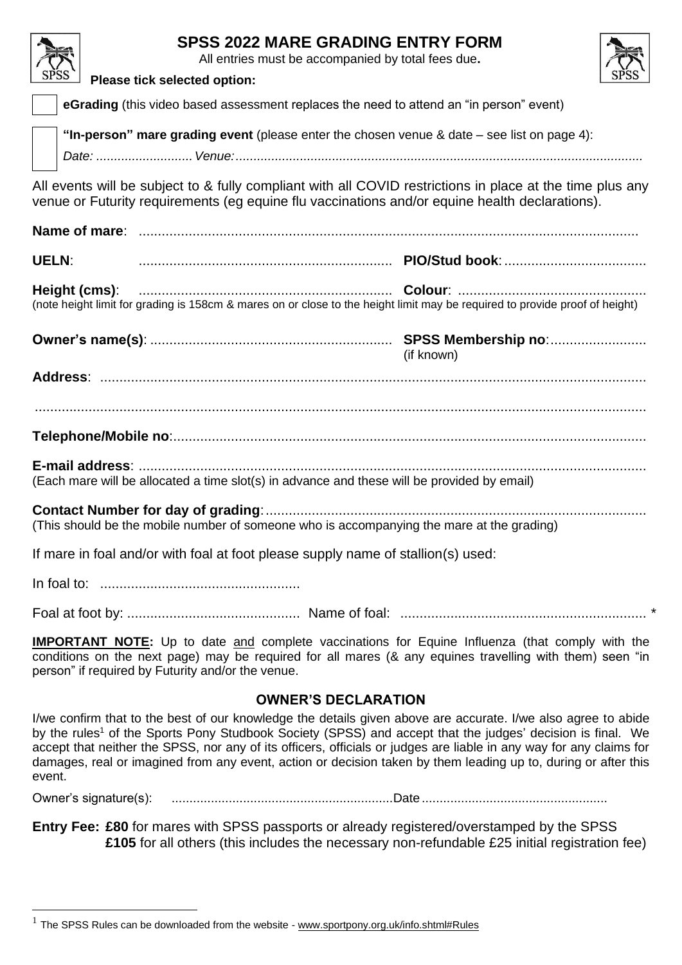| <b>SPSS 2022 MARE GRADING ENTRY FORM</b><br>All entries must be accompanied by total fees due.                                                                                                                                                                                                                                                                                                                                                                                             |  |  |  |  |
|--------------------------------------------------------------------------------------------------------------------------------------------------------------------------------------------------------------------------------------------------------------------------------------------------------------------------------------------------------------------------------------------------------------------------------------------------------------------------------------------|--|--|--|--|
| Please tick selected option:                                                                                                                                                                                                                                                                                                                                                                                                                                                               |  |  |  |  |
| eGrading (this video based assessment replaces the need to attend an "in person" event)                                                                                                                                                                                                                                                                                                                                                                                                    |  |  |  |  |
| "In-person" mare grading event (please enter the chosen venue & date $-$ see list on page 4):                                                                                                                                                                                                                                                                                                                                                                                              |  |  |  |  |
| All events will be subject to & fully compliant with all COVID restrictions in place at the time plus any<br>venue or Futurity requirements (eg equine flu vaccinations and/or equine health declarations).                                                                                                                                                                                                                                                                                |  |  |  |  |
|                                                                                                                                                                                                                                                                                                                                                                                                                                                                                            |  |  |  |  |
| <b>UELN:</b>                                                                                                                                                                                                                                                                                                                                                                                                                                                                               |  |  |  |  |
| Height (cms):<br>(note height limit for grading is 158cm & mares on or close to the height limit may be required to provide proof of height)                                                                                                                                                                                                                                                                                                                                               |  |  |  |  |
| (if known)                                                                                                                                                                                                                                                                                                                                                                                                                                                                                 |  |  |  |  |
|                                                                                                                                                                                                                                                                                                                                                                                                                                                                                            |  |  |  |  |
|                                                                                                                                                                                                                                                                                                                                                                                                                                                                                            |  |  |  |  |
|                                                                                                                                                                                                                                                                                                                                                                                                                                                                                            |  |  |  |  |
| (Each mare will be allocated a time slot(s) in advance and these will be provided by email)                                                                                                                                                                                                                                                                                                                                                                                                |  |  |  |  |
| (This should be the mobile number of someone who is accompanying the mare at the grading)                                                                                                                                                                                                                                                                                                                                                                                                  |  |  |  |  |
| If mare in foal and/or with foal at foot please supply name of stallion(s) used:                                                                                                                                                                                                                                                                                                                                                                                                           |  |  |  |  |
|                                                                                                                                                                                                                                                                                                                                                                                                                                                                                            |  |  |  |  |
|                                                                                                                                                                                                                                                                                                                                                                                                                                                                                            |  |  |  |  |
| <b>IMPORTANT NOTE:</b> Up to date and complete vaccinations for Equine Influenza (that comply with the<br>conditions on the next page) may be required for all mares (& any equines travelling with them) seen "in<br>person" if required by Futurity and/or the venue.                                                                                                                                                                                                                    |  |  |  |  |
| <b>OWNER'S DECLARATION</b>                                                                                                                                                                                                                                                                                                                                                                                                                                                                 |  |  |  |  |
| I/we confirm that to the best of our knowledge the details given above are accurate. I/we also agree to abide<br>by the rules <sup>1</sup> of the Sports Pony Studbook Society (SPSS) and accept that the judges' decision is final. We<br>accept that neither the SPSS, nor any of its officers, officials or judges are liable in any way for any claims for<br>damages, real or imagined from any event, action or decision taken by them leading up to, during or after this<br>event. |  |  |  |  |

Owner's signature(s): ..............................................................Date ....................................................

**Entry Fee: £80** for mares with SPSS passports or already registered/overstamped by the SPSS **£105** for all others (this includes the necessary non-refundable £25 initial registration fee)

<sup>&</sup>lt;sup>1</sup> The SPSS Rules can be downloaded from the website - [www.sportpony.org.uk/info.shtml#Rules](www.sportpony.org.uk/info.shtml%23Rules)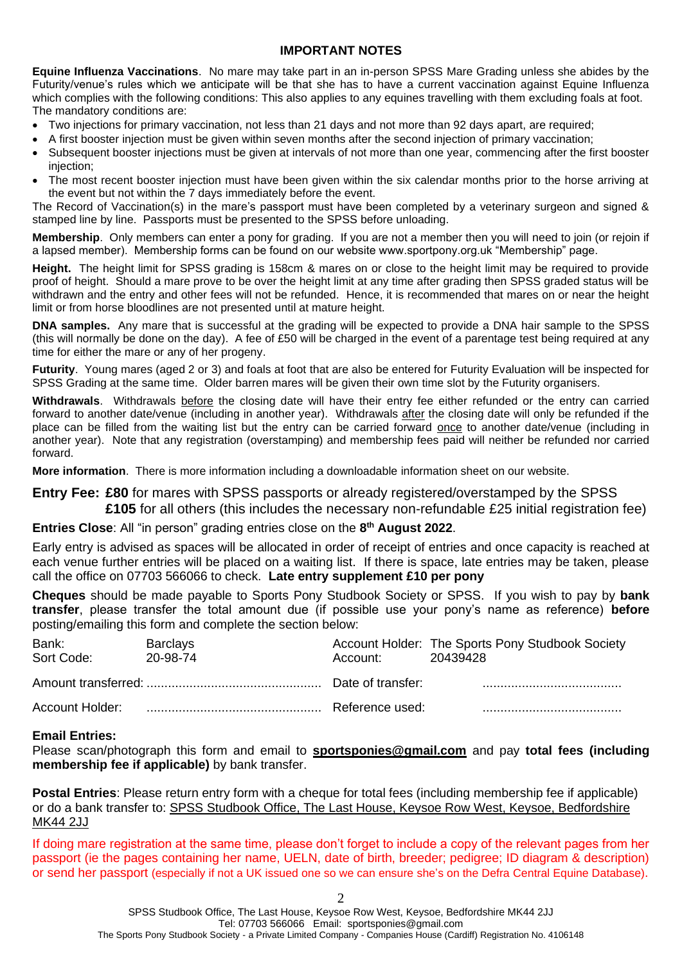### **IMPORTANT NOTES**

**Equine Influenza Vaccinations**. No mare may take part in an in-person SPSS Mare Grading unless she abides by the Futurity/venue's rules which we anticipate will be that she has to have a current vaccination against Equine Influenza which complies with the following conditions: This also applies to any equines travelling with them excluding foals at foot. The mandatory conditions are:

- Two injections for primary vaccination, not less than 21 days and not more than 92 days apart, are required;
- A first booster injection must be given within seven months after the second injection of primary vaccination;
- Subsequent booster injections must be given at intervals of not more than one year, commencing after the first booster injection;
- The most recent booster injection must have been given within the six calendar months prior to the horse arriving at the event but not within the 7 days immediately before the event.

The Record of Vaccination(s) in the mare's passport must have been completed by a veterinary surgeon and signed & stamped line by line. Passports must be presented to the SPSS before unloading.

**Membership**. Only members can enter a pony for grading. If you are not a member then you will need to join (or rejoin if a lapsed member). Membership forms can be found on our website www.sportpony.org.uk "Membership" page.

**Height.** The height limit for SPSS grading is 158cm & mares on or close to the height limit may be required to provide proof of height. Should a mare prove to be over the height limit at any time after grading then SPSS graded status will be withdrawn and the entry and other fees will not be refunded. Hence, it is recommended that mares on or near the height limit or from horse bloodlines are not presented until at mature height.

**DNA samples.** Any mare that is successful at the grading will be expected to provide a DNA hair sample to the SPSS (this will normally be done on the day). A fee of £50 will be charged in the event of a parentage test being required at any time for either the mare or any of her progeny.

**Futurity**. Young mares (aged 2 or 3) and foals at foot that are also be entered for Futurity Evaluation will be inspected for SPSS Grading at the same time. Older barren mares will be given their own time slot by the Futurity organisers.

**Withdrawals**. Withdrawals before the closing date will have their entry fee either refunded or the entry can carried forward to another date/venue (including in another year). Withdrawals after the closing date will only be refunded if the place can be filled from the waiting list but the entry can be carried forward once to another date/venue (including in another year). Note that any registration (overstamping) and membership fees paid will neither be refunded nor carried forward.

**More information**. There is more information including a downloadable information sheet on our website.

**Entry Fee: £80** for mares with SPSS passports or already registered/overstamped by the SPSS **£105** for all others (this includes the necessary non-refundable £25 initial registration fee)

**Entries Close**: All "in person" grading entries close on the **8 th August 2022**.

Early entry is advised as spaces will be allocated in order of receipt of entries and once capacity is reached at each venue further entries will be placed on a waiting list. If there is space, late entries may be taken, please call the office on 07703 566066 to check. **Late entry supplement £10 per pony**

**Cheques** should be made payable to Sports Pony Studbook Society or SPSS. If you wish to pay by **bank transfer**, please transfer the total amount due (if possible use your pony's name as reference) **before** posting/emailing this form and complete the section below:

| Bank:<br>Sort Code: | Barclays<br>20-98-74 | Account: | Account Holder: The Sports Pony Studbook Society<br>20439428 |
|---------------------|----------------------|----------|--------------------------------------------------------------|
|                     |                      |          |                                                              |
|                     |                      |          |                                                              |

### **Email Entries:**

Please scan/photograph this form and email to **sportsponies@gmail.com** and pay **total fees (including membership fee if applicable)** by bank transfer.

**Postal Entries**: Please return entry form with a cheque for total fees (including membership fee if applicable) or do a bank transfer to: SPSS Studbook Office, The Last House, Keysoe Row West, Keysoe, Bedfordshire MK44 2JJ

If doing mare registration at the same time, please don't forget to include a copy of the relevant pages from her passport (ie the pages containing her name, UELN, date of birth, breeder; pedigree; ID diagram & description) or send her passport (especially if not a UK issued one so we can ensure she's on the Defra Central Equine Database).

 $\mathcal{D}$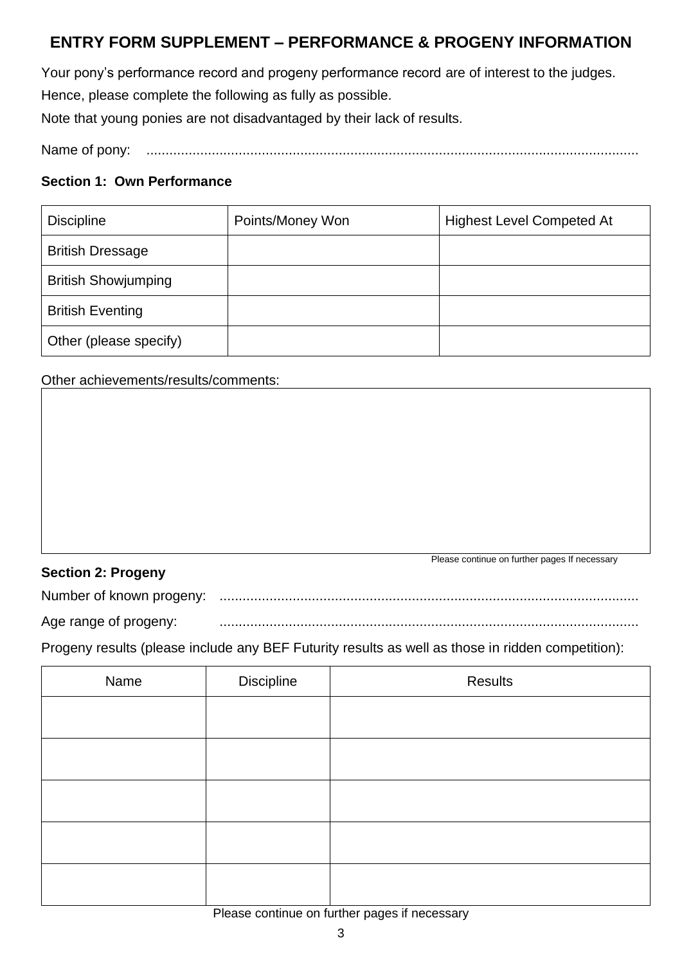# **ENTRY FORM SUPPLEMENT – PERFORMANCE & PROGENY INFORMATION**

Your pony's performance record and progeny performance record are of interest to the judges. Hence, please complete the following as fully as possible.

Note that young ponies are not disadvantaged by their lack of results.

Name of pony: ................................................................................................................................

### **Section 1: Own Performance**

| <b>Discipline</b>          | Points/Money Won | <b>Highest Level Competed At</b> |
|----------------------------|------------------|----------------------------------|
| <b>British Dressage</b>    |                  |                                  |
| <b>British Showjumping</b> |                  |                                  |
| <b>British Eventing</b>    |                  |                                  |
| Other (please specify)     |                  |                                  |

Other achievements/results/comments:

## **Section 2: Progeny**

Please continue on further pages If necessary

Number of known progeny: .............................................................................................................

Age range of progeny: .............................................................................................................

Progeny results (please include any BEF Futurity results as well as those in ridden competition):

| Name | Discipline | <b>Results</b> |
|------|------------|----------------|
|      |            |                |
|      |            |                |
|      |            |                |
|      |            |                |
|      |            |                |

Please continue on further pages if necessary